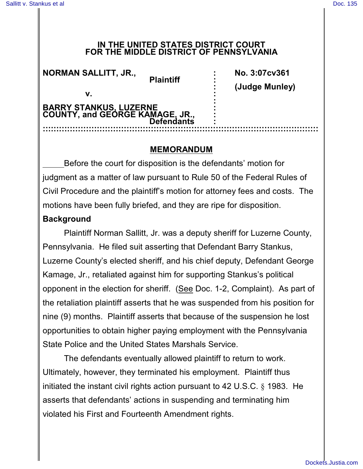#### **IN THE UNITED STATES DISTRICT COURT FOR THE MIDDLE DISTRICT OF PENNSYLVANIA**

| <b>NORMAN SALLITT, JR.,</b><br>V.                         | <b>Plaintiff</b>  | No. 3:07cv361<br>(Judge Munley) |
|-----------------------------------------------------------|-------------------|---------------------------------|
| BARRY STANKUS, LUZERNE<br>COUNTY, and GEORGE KAMAGE, JR., | <b>Defendants</b> |                                 |

### **MEMORANDUM**

Before the court for disposition is the defendants' motion for judgment as a matter of law pursuant to Rule 50 of the Federal Rules of Civil Procedure and the plaintiff's motion for attorney fees and costs. The motions have been fully briefed, and they are ripe for disposition.

## **Background**

Plaintiff Norman Sallitt, Jr. was a deputy sheriff for Luzerne County, Pennsylvania. He filed suit asserting that Defendant Barry Stankus, Luzerne County's elected sheriff, and his chief deputy, Defendant George Kamage, Jr., retaliated against him for supporting Stankus's political opponent in the election for sheriff. (See Doc. 1-2, Complaint). As part of the retaliation plaintiff asserts that he was suspended from his position for nine (9) months. Plaintiff asserts that because of the suspension he lost opportunities to obtain higher paying employment with the Pennsylvania State Police and the United States Marshals Service.

The defendants eventually allowed plaintiff to return to work. Ultimately, however, they terminated his employment. Plaintiff thus initiated the instant civil rights action pursuant to 42 U.S.C. § 1983. He asserts that defendants' actions in suspending and terminating him violated his First and Fourteenth Amendment rights.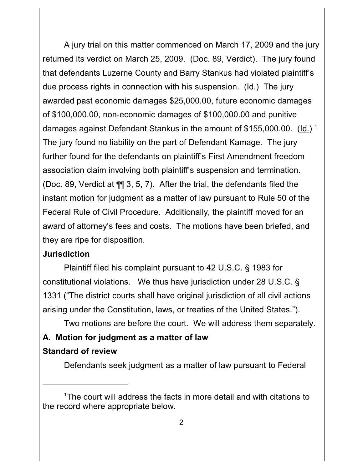A jury trial on this matter commenced on March 17, 2009 and the jury returned its verdict on March 25, 2009. (Doc. 89, Verdict). The jury found that defendants Luzerne County and Barry Stankus had violated plaintiff's due process rights in connection with his suspension. (Id.) The jury awarded past economic damages \$25,000.00, future economic damages of \$100,000.00, non-economic damages of \$100,000.00 and punitive damages against Defendant Stankus in the amount of \$155,000.00. (Id.) <sup>1</sup> The jury found no liability on the part of Defendant Kamage. The jury further found for the defendants on plaintiff's First Amendment freedom association claim involving both plaintiff's suspension and termination. (Doc. 89, Verdict at ¶¶ 3, 5, 7). After the trial, the defendants filed the instant motion for judgment as a matter of law pursuant to Rule 50 of the Federal Rule of Civil Procedure. Additionally, the plaintiff moved for an award of attorney's fees and costs. The motions have been briefed, and they are ripe for disposition.

#### **Jurisdiction**

Plaintiff filed his complaint pursuant to 42 U.S.C. § 1983 for constitutional violations. We thus have jurisdiction under 28 U.S.C. § 1331 ("The district courts shall have original jurisdiction of all civil actions arising under the Constitution, laws, or treaties of the United States.").

Two motions are before the court. We will address them separately. **A. Motion for judgment as a matter of law Standard of review**

Defendants seek judgment as a matter of law pursuant to Federal

<sup>&</sup>lt;sup>1</sup>The court will address the facts in more detail and with citations to the record where appropriate below.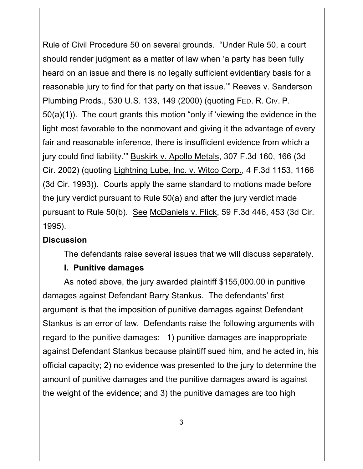Rule of Civil Procedure 50 on several grounds. "Under Rule 50, a court should render judgment as a matter of law when 'a party has been fully heard on an issue and there is no legally sufficient evidentiary basis for a reasonable jury to find for that party on that issue.'" Reeves v. Sanderson Plumbing Prods., 530 U.S. 133, 149 (2000) (quoting FED. R. CIV. P. 50(a)(1)). The court grants this motion "only if 'viewing the evidence in the light most favorable to the nonmovant and giving it the advantage of every fair and reasonable inference, there is insufficient evidence from which a jury could find liability.'" Buskirk v. Apollo Metals, 307 F.3d 160, 166 (3d Cir. 2002) (quoting Lightning Lube, Inc. v. Witco Corp., 4 F.3d 1153, 1166 (3d Cir. 1993)). Courts apply the same standard to motions made before the jury verdict pursuant to Rule 50(a) and after the jury verdict made pursuant to Rule 50(b). See McDaniels v. Flick, 59 F.3d 446, 453 (3d Cir. 1995).

# **Discussion**

The defendants raise several issues that we will discuss separately.

# **I. Punitive damages**

As noted above, the jury awarded plaintiff \$155,000.00 in punitive damages against Defendant Barry Stankus. The defendants' first argument is that the imposition of punitive damages against Defendant Stankus is an error of law. Defendants raise the following arguments with regard to the punitive damages: 1) punitive damages are inappropriate against Defendant Stankus because plaintiff sued him, and he acted in, his official capacity; 2) no evidence was presented to the jury to determine the amount of punitive damages and the punitive damages award is against the weight of the evidence; and 3) the punitive damages are too high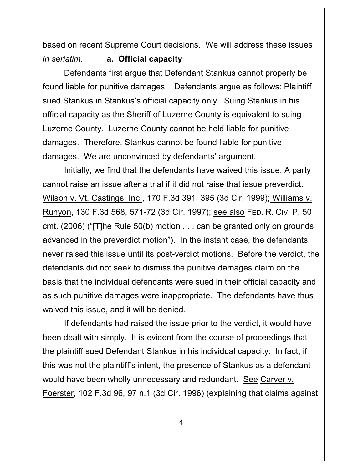based on recent Supreme Court decisions. We will address these issues *in seriatim*. **a. Official capacity**

Defendants first argue that Defendant Stankus cannot properly be found liable for punitive damages. Defendants argue as follows: Plaintiff sued Stankus in Stankus's official capacity only. Suing Stankus in his official capacity as the Sheriff of Luzerne County is equivalent to suing Luzerne County. Luzerne County cannot be held liable for punitive damages. Therefore, Stankus cannot be found liable for punitive damages. We are unconvinced by defendants' argument.

Initially, we find that the defendants have waived this issue. A party cannot raise an issue after a trial if it did not raise that issue preverdict. Wilson v. Vt. Castings, Inc., 170 F.3d 391, 395 (3d Cir. 1999); Williams v. Runyon, 130 F.3d 568, 571-72 (3d Cir. 1997); see also FED. R. CIV. P. 50 cmt. (2006) ("[T]he Rule 50(b) motion . . . can be granted only on grounds advanced in the preverdict motion"). In the instant case, the defendants never raised this issue until its post-verdict motions. Before the verdict, the defendants did not seek to dismiss the punitive damages claim on the basis that the individual defendants were sued in their official capacity and as such punitive damages were inappropriate. The defendants have thus waived this issue, and it will be denied.

If defendants had raised the issue prior to the verdict, it would have been dealt with simply. It is evident from the course of proceedings that the plaintiff sued Defendant Stankus in his individual capacity. In fact, if this was not the plaintiff's intent, the presence of Stankus as a defendant would have been wholly unnecessary and redundant. See Carver v. Foerster, 102 F.3d 96, 97 n.1 (3d Cir. 1996) (explaining that claims against

4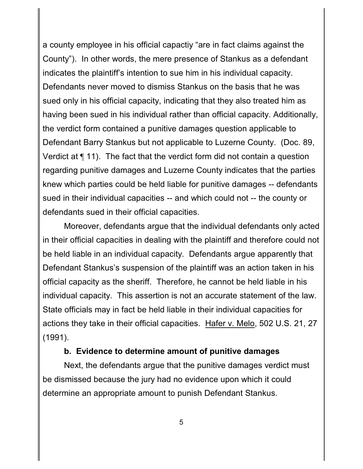a county employee in his official capactiy "are in fact claims against the County"). In other words, the mere presence of Stankus as a defendant indicates the plaintiff's intention to sue him in his individual capacity. Defendants never moved to dismiss Stankus on the basis that he was sued only in his official capacity, indicating that they also treated him as having been sued in his individual rather than official capacity. Additionally, the verdict form contained a punitive damages question applicable to Defendant Barry Stankus but not applicable to Luzerne County. (Doc. 89, Verdict at ¶ 11). The fact that the verdict form did not contain a question regarding punitive damages and Luzerne County indicates that the parties knew which parties could be held liable for punitive damages -- defendants sued in their individual capacities -- and which could not -- the county or defendants sued in their official capacities.

Moreover, defendants argue that the individual defendants only acted in their official capacities in dealing with the plaintiff and therefore could not be held liable in an individual capacity. Defendants argue apparently that Defendant Stankus's suspension of the plaintiff was an action taken in his official capacity as the sheriff. Therefore, he cannot be held liable in his individual capacity. This assertion is not an accurate statement of the law. State officials may in fact be held liable in their individual capacities for actions they take in their official capacities. Hafer v. Melo, 502 U.S. 21, 27 (1991).

#### **b. Evidence to determine amount of punitive damages**

Next, the defendants argue that the punitive damages verdict must be dismissed because the jury had no evidence upon which it could determine an appropriate amount to punish Defendant Stankus.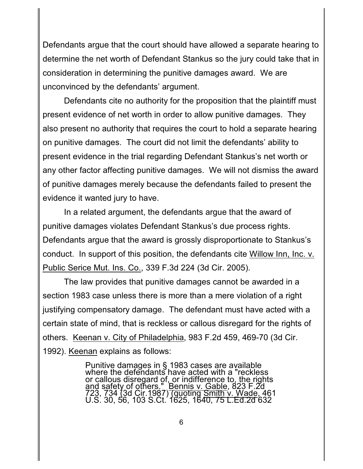Defendants argue that the court should have allowed a separate hearing to determine the net worth of Defendant Stankus so the jury could take that in consideration in determining the punitive damages award. We are unconvinced by the defendants' argument.

Defendants cite no authority for the proposition that the plaintiff must present evidence of net worth in order to allow punitive damages. They also present no authority that requires the court to hold a separate hearing on punitive damages. The court did not limit the defendants' ability to present evidence in the trial regarding Defendant Stankus's net worth or any other factor affecting punitive damages. We will not dismiss the award of punitive damages merely because the defendants failed to present the evidence it wanted jury to have.

In a related argument, the defendants argue that the award of punitive damages violates Defendant Stankus's due process rights. Defendants argue that the award is grossly disproportionate to Stankus's conduct. In support of this position, the defendants cite Willow Inn, Inc. v. Public Serice Mut. Ins. Co., 339 F.3d 224 (3d Cir. 2005).

The law provides that punitive damages cannot be awarded in a section 1983 case unless there is more than a mere violation of a right justifying compensatory damage. The defendant must have acted with a certain state of mind, that is reckless or callous disregard for the rights of others. Keenan v. City of Philadelphia, 983 F.2d 459, 469-70 (3d Cir. 1992). Keenan explains as follows:

> Punitive damages in § 1983 cases are available where the defendants have acted with a "reckless or callous disregard of, or indifference to, the rights and safety of others." Bennis v. Gable, 823 F.2d 723, 734 (3d Cir.1987) <u>(quoting Smith v. Wade, 46</u>1 U.S. 30, 56, 103 S.Ct. 1625, 1640, 75 L.Ed.2d 632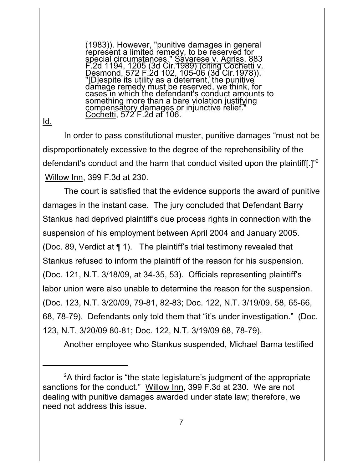(1983)). However, "punitive damages in general represent a limited remedy, to be reserved for special circumstances." Savarese v. Agriss, 883 F.2d 1194, 1205 (3d Cir.1989) (citing Cochetti v. Desmond, 572 F.2d 102, 105-06 (3d Cir.1978)). "[D]espite its utility as a deterrent, the punitive damage remedy must be reserved, we think, for cases in which the defendant's conduct amounts to something more than a bare violation justifying compensatory damages or injunctive relief." <u>Cochetti</u>, 572 F.2d at 106.

Id.

In order to pass constitutional muster, punitive damages "must not be disproportionately excessive to the degree of the reprehensibility of the defendant's conduct and the harm that conduct visited upon the plaintiff[.]"<sup>2</sup> Willow Inn, 399 F.3d at 230.

The court is satisfied that the evidence supports the award of punitive damages in the instant case. The jury concluded that Defendant Barry Stankus had deprived plaintiff's due process rights in connection with the suspension of his employment between April 2004 and January 2005. (Doc. 89, Verdict at ¶ 1). The plaintiff's trial testimony revealed that Stankus refused to inform the plaintiff of the reason for his suspension. (Doc. 121, N.T. 3/18/09, at 34-35, 53). Officials representing plaintiff's labor union were also unable to determine the reason for the suspension. (Doc. 123, N.T. 3/20/09, 79-81, 82-83; Doc. 122, N.T. 3/19/09, 58, 65-66, 68, 78-79). Defendants only told them that "it's under investigation." (Doc. 123, N.T. 3/20/09 80-81; Doc. 122, N.T. 3/19/09 68, 78-79).

Another employee who Stankus suspended, Michael Barna testified

 $2$ A third factor is "the state legislature's judgment of the appropriate sanctions for the conduct." Willow Inn, 399 F.3d at 230. We are not dealing with punitive damages awarded under state law; therefore, we need not address this issue.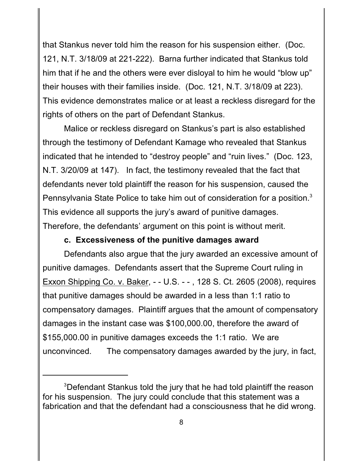that Stankus never told him the reason for his suspension either. (Doc. 121, N.T. 3/18/09 at 221-222). Barna further indicated that Stankus told him that if he and the others were ever disloyal to him he would "blow up" their houses with their families inside. (Doc. 121, N.T. 3/18/09 at 223). This evidence demonstrates malice or at least a reckless disregard for the rights of others on the part of Defendant Stankus.

Malice or reckless disregard on Stankus's part is also established through the testimony of Defendant Kamage who revealed that Stankus indicated that he intended to "destroy people" and "ruin lives." (Doc. 123, N.T. 3/20/09 at 147). In fact, the testimony revealed that the fact that defendants never told plaintiff the reason for his suspension, caused the Pennsylvania State Police to take him out of consideration for a position. $3$ This evidence all supports the jury's award of punitive damages. Therefore, the defendants' argument on this point is without merit.

#### **c. Excessiveness of the punitive damages award**

Defendants also argue that the jury awarded an excessive amount of punitive damages. Defendants assert that the Supreme Court ruling in Exxon Shipping Co. v. Baker, - - U.S. - - , 128 S. Ct. 2605 (2008), requires that punitive damages should be awarded in a less than 1:1 ratio to compensatory damages. Plaintiff argues that the amount of compensatory damages in the instant case was \$100,000.00, therefore the award of \$155,000.00 in punitive damages exceeds the 1:1 ratio. We are unconvinced. The compensatory damages awarded by the jury, in fact,

<sup>&</sup>lt;sup>3</sup>Defendant Stankus told the jury that he had told plaintiff the reason for his suspension. The jury could conclude that this statement was a fabrication and that the defendant had a consciousness that he did wrong.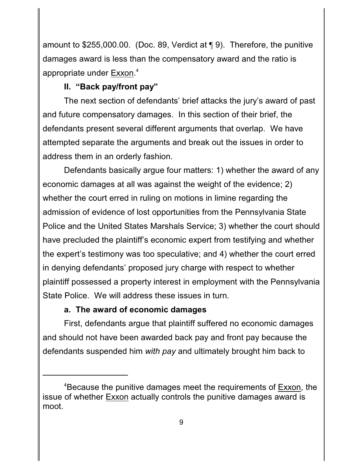amount to \$255,000.00. (Doc. 89, Verdict at ¶ 9). Therefore, the punitive damages award is less than the compensatory award and the ratio is appropriate under Exxon.<sup>4</sup>

# **II. "Back pay/front pay"**

The next section of defendants' brief attacks the jury's award of past and future compensatory damages. In this section of their brief, the defendants present several different arguments that overlap. We have attempted separate the arguments and break out the issues in order to address them in an orderly fashion.

Defendants basically argue four matters: 1) whether the award of any economic damages at all was against the weight of the evidence; 2) whether the court erred in ruling on motions in limine regarding the admission of evidence of lost opportunities from the Pennsylvania State Police and the United States Marshals Service; 3) whether the court should have precluded the plaintiff's economic expert from testifying and whether the expert's testimony was too speculative; and 4) whether the court erred in denying defendants' proposed jury charge with respect to whether plaintiff possessed a property interest in employment with the Pennsylvania State Police. We will address these issues in turn.

# **a. The award of economic damages**

First, defendants argue that plaintiff suffered no economic damages and should not have been awarded back pay and front pay because the defendants suspended him *with pay* and ultimately brought him back to

<sup>&</sup>lt;sup>4</sup>Because the punitive damages meet the requirements of Exxon, the issue of whether Exxon actually controls the punitive damages award is moot.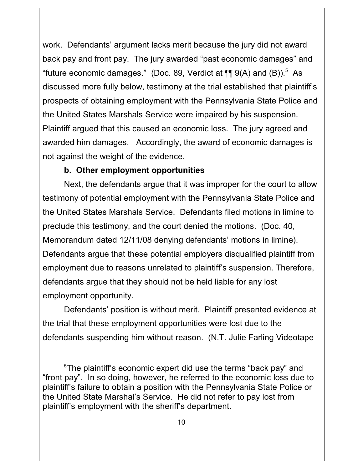work. Defendants' argument lacks merit because the jury did not award back pay and front pay. The jury awarded "past economic damages" and "future economic damages." (Doc. 89, Verdict at  $\P$  $\P$  9(A) and (B)).<sup>5</sup> As discussed more fully below, testimony at the trial established that plaintiff's prospects of obtaining employment with the Pennsylvania State Police and the United States Marshals Service were impaired by his suspension. Plaintiff argued that this caused an economic loss. The jury agreed and awarded him damages. Accordingly, the award of economic damages is not against the weight of the evidence.

## **b. Other employment opportunities**

Next, the defendants argue that it was improper for the court to allow testimony of potential employment with the Pennsylvania State Police and the United States Marshals Service. Defendants filed motions in limine to preclude this testimony, and the court denied the motions. (Doc. 40, Memorandum dated 12/11/08 denying defendants' motions in limine). Defendants argue that these potential employers disqualified plaintiff from employment due to reasons unrelated to plaintiff's suspension. Therefore, defendants argue that they should not be held liable for any lost employment opportunity.

Defendants' position is without merit. Plaintiff presented evidence at the trial that these employment opportunities were lost due to the defendants suspending him without reason. (N.T. Julie Farling Videotape

 $5$ The plaintiff's economic expert did use the terms "back pay" and "front pay". In so doing, however, he referred to the economic loss due to plaintiff's failure to obtain a position with the Pennsylvania State Police or the United State Marshal's Service. He did not refer to pay lost from plaintiff's employment with the sheriff's department.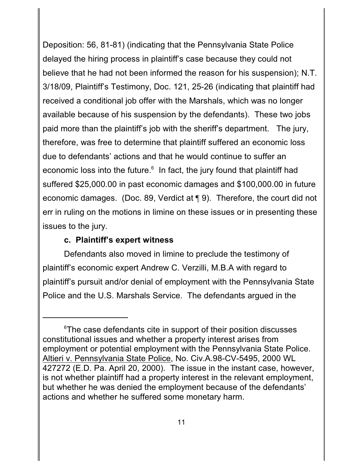Deposition: 56, 81-81) (indicating that the Pennsylvania State Police delayed the hiring process in plaintiff's case because they could not believe that he had not been informed the reason for his suspension); N.T. 3/18/09, Plaintiff's Testimony, Doc. 121, 25-26 (indicating that plaintiff had received a conditional job offer with the Marshals, which was no longer available because of his suspension by the defendants). These two jobs paid more than the plaintiff's job with the sheriff's department. The jury, therefore, was free to determine that plaintiff suffered an economic loss due to defendants' actions and that he would continue to suffer an economic loss into the future. $^6$  In fact, the jury found that plaintiff had suffered \$25,000.00 in past economic damages and \$100,000.00 in future economic damages. (Doc. 89, Verdict at ¶ 9). Therefore, the court did not err in ruling on the motions in limine on these issues or in presenting these issues to the jury.

### **c. Plaintiff's expert witness**

Defendants also moved in limine to preclude the testimony of plaintiff's economic expert Andrew C. Verzilli, M.B.A with regard to plaintiff's pursuit and/or denial of employment with the Pennsylvania State Police and the U.S. Marshals Service. The defendants argued in the

 $6$ The case defendants cite in support of their position discusses constitutional issues and whether a property interest arises from employment or potential employment with the Pennsylvania State Police. Altieri v. Pennsylvania State Police, No. Civ.A.98-CV-5495, 2000 WL 427272 (E.D. Pa. April 20, 2000). The issue in the instant case, however, is not whether plaintiff had a property interest in the relevant employment, but whether he was denied the employment because of the defendants' actions and whether he suffered some monetary harm.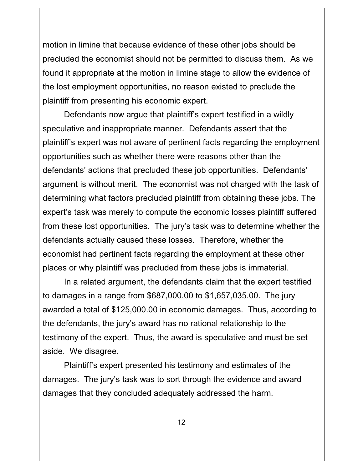motion in limine that because evidence of these other jobs should be precluded the economist should not be permitted to discuss them. As we found it appropriate at the motion in limine stage to allow the evidence of the lost employment opportunities, no reason existed to preclude the plaintiff from presenting his economic expert.

Defendants now argue that plaintiff's expert testified in a wildly speculative and inappropriate manner. Defendants assert that the plaintiff's expert was not aware of pertinent facts regarding the employment opportunities such as whether there were reasons other than the defendants' actions that precluded these job opportunities. Defendants' argument is without merit. The economist was not charged with the task of determining what factors precluded plaintiff from obtaining these jobs. The expert's task was merely to compute the economic losses plaintiff suffered from these lost opportunities. The jury's task was to determine whether the defendants actually caused these losses. Therefore, whether the economist had pertinent facts regarding the employment at these other places or why plaintiff was precluded from these jobs is immaterial.

In a related argument, the defendants claim that the expert testified to damages in a range from \$687,000.00 to \$1,657,035.00. The jury awarded a total of \$125,000.00 in economic damages. Thus, according to the defendants, the jury's award has no rational relationship to the testimony of the expert. Thus, the award is speculative and must be set aside. We disagree.

Plaintiff's expert presented his testimony and estimates of the damages. The jury's task was to sort through the evidence and award damages that they concluded adequately addressed the harm.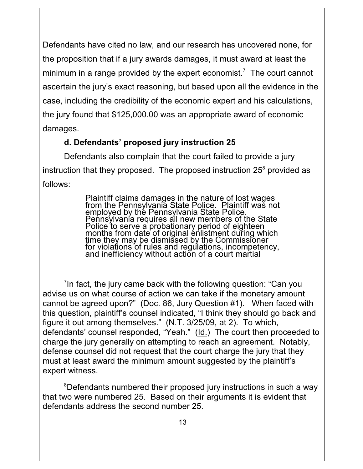Defendants have cited no law, and our research has uncovered none, for the proposition that if a jury awards damages, it must award at least the minimum in a range provided by the expert economist.<sup>7</sup> The court cannot ascertain the jury's exact reasoning, but based upon all the evidence in the case, including the credibility of the economic expert and his calculations, the jury found that \$125,000.00 was an appropriate award of economic damages.

# **d. Defendants' proposed jury instruction 25**

Defendants also complain that the court failed to provide a jury instruction that they proposed. The proposed instruction 25 $^8$  provided as follows:

> Plaintiff claims damages in the nature of lost wages from the Pennsylvania State Police. Plaintiff was not employed by the Pennsylvania State Police. Pennsylvania requires all new members of the State Police to serve a probationary period of eighteen months from date of original enlistment during which time they may be dismissed by the Commissioner for violations of rules and regulations, incompetency, and inefficiency without action of a court martial

<sup>8</sup>Defendants numbered their proposed jury instructions in such a way that two were numbered 25. Based on their arguments it is evident that defendants address the second number 25.

 $\frac{1}{2}$ In fact, the jury came back with the following question: "Can you advise us on what course of action we can take if the monetary amount cannot be agreed upon?" (Doc. 86, Jury Question #1). When faced with this question, plaintiff's counsel indicated, "I think they should go back and figure it out among themselves." (N.T. 3/25/09, at 2). To which, defendants' counsel responded, "Yeah." (Id.) The court then proceeded to charge the jury generally on attempting to reach an agreement. Notably, defense counsel did not request that the court charge the jury that they must at least award the minimum amount suggested by the plaintiff's expert witness.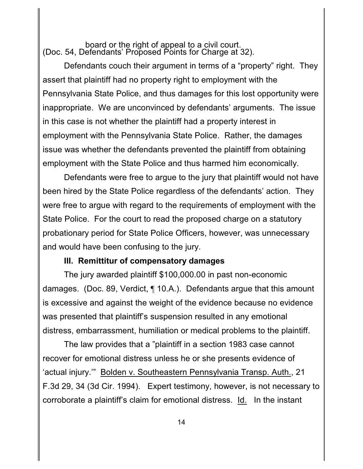#### board or the right of appeal to a civil court. (Doc. 54, Defendants' Proposed Points for Charge at 32).

Defendants couch their argument in terms of a "property" right. They assert that plaintiff had no property right to employment with the Pennsylvania State Police, and thus damages for this lost opportunity were inappropriate. We are unconvinced by defendants' arguments. The issue in this case is not whether the plaintiff had a property interest in employment with the Pennsylvania State Police. Rather, the damages issue was whether the defendants prevented the plaintiff from obtaining employment with the State Police and thus harmed him economically.

Defendants were free to argue to the jury that plaintiff would not have been hired by the State Police regardless of the defendants' action. They were free to argue with regard to the requirements of employment with the State Police. For the court to read the proposed charge on a statutory probationary period for State Police Officers, however, was unnecessary and would have been confusing to the jury.

#### **III. Remittitur of compensatory damages**

The jury awarded plaintiff \$100,000.00 in past non-economic damages. (Doc. 89, Verdict, ¶ 10.A.). Defendants argue that this amount is excessive and against the weight of the evidence because no evidence was presented that plaintiff's suspension resulted in any emotional distress, embarrassment, humiliation or medical problems to the plaintiff.

The law provides that a "plaintiff in a section 1983 case cannot recover for emotional distress unless he or she presents evidence of 'actual injury.'" Bolden v. Southeastern Pennsylvania Transp. Auth., 21 F.3d 29, 34 (3d Cir. 1994). Expert testimony, however, is not necessary to corroborate a plaintiff's claim for emotional distress. Id. In the instant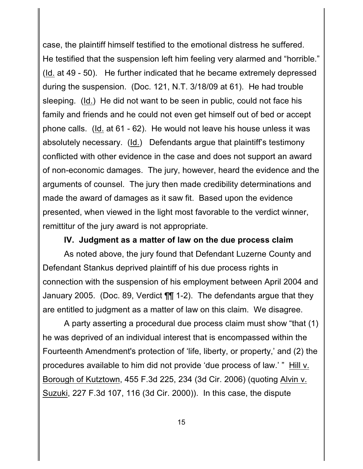case, the plaintiff himself testified to the emotional distress he suffered. He testified that the suspension left him feeling very alarmed and "horrible." (Id. at 49 - 50). He further indicated that he became extremely depressed during the suspension. (Doc. 121, N.T. 3/18/09 at 61). He had trouble sleeping. (Id.) He did not want to be seen in public, could not face his family and friends and he could not even get himself out of bed or accept phone calls. (Id. at 61 - 62). He would not leave his house unless it was absolutely necessary. (Id.) Defendants argue that plaintiff's testimony conflicted with other evidence in the case and does not support an award of non-economic damages. The jury, however, heard the evidence and the arguments of counsel. The jury then made credibility determinations and made the award of damages as it saw fit. Based upon the evidence presented, when viewed in the light most favorable to the verdict winner, remittitur of the jury award is not appropriate.

**IV. Judgment as a matter of law on the due process claim**

As noted above, the jury found that Defendant Luzerne County and Defendant Stankus deprived plaintiff of his due process rights in connection with the suspension of his employment between April 2004 and January 2005. (Doc. 89, Verdict ¶¶ 1-2). The defendants argue that they are entitled to judgment as a matter of law on this claim. We disagree.

A party asserting a procedural due process claim must show "that (1) he was deprived of an individual interest that is encompassed within the Fourteenth Amendment's protection of 'life, liberty, or property,' and (2) the procedures available to him did not provide 'due process of law.' " Hill v. Borough of Kutztown, 455 F.3d 225, 234 (3d Cir. 2006) (quoting Alvin v. Suzuki, 227 F.3d 107, 116 (3d Cir. 2000)). In this case, the dispute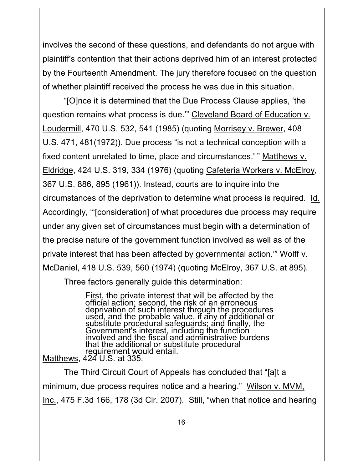involves the second of these questions, and defendants do not argue with plaintiff's contention that their actions deprived him of an interest protected by the Fourteenth Amendment. The jury therefore focused on the question of whether plaintiff received the process he was due in this situation.

"[O]nce it is determined that the Due Process Clause applies, 'the question remains what process is due.'" Cleveland Board of Education v. Loudermill, 470 U.S. 532, 541 (1985) (quoting Morrisey v. Brewer, 408 U.S. 471, 481(1972)). Due process "is not a technical conception with a fixed content unrelated to time, place and circumstances.' " Matthews v. Eldridge, 424 U.S. 319, 334 (1976) (quoting Cafeteria Workers v. McElroy, 367 U.S. 886, 895 (1961)). Instead, courts are to inquire into the circumstances of the deprivation to determine what process is required. Id. Accordingly, "'[consideration] of what procedures due process may require under any given set of circumstances must begin with a determination of the precise nature of the government function involved as well as of the private interest that has been affected by governmental action.'" Wolff v. McDaniel, 418 U.S. 539, 560 (1974) (quoting McElroy, 367 U.S. at 895).

Three factors generally guide this determination:

First, the private interest that will be affected by the official action; second, the risk of an erroneous deprivation of such interest through the procedures used, and the probable value, if any of additional or substitute procedural safeguards; and finally, the Government's interest, including the function involved and the fiscal and administrative burdens that the additional or substitute procedural requirement would entail.

Matthews, 424 U.S. at 335.

The Third Circuit Court of Appeals has concluded that "[a]t a minimum, due process requires notice and a hearing." Wilson v. MVM, Inc., 475 F.3d 166, 178 (3d Cir. 2007). Still, "when that notice and hearing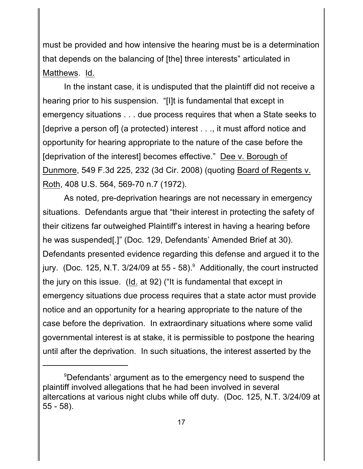must be provided and how intensive the hearing must be is a determination that depends on the balancing of [the] three interests" articulated in Matthews. Id.

In the instant case, it is undisputed that the plaintiff did not receive a hearing prior to his suspension. "[I]t is fundamental that except in emergency situations . . . due process requires that when a State seeks to [deprive a person of] (a protected) interest . . ., it must afford notice and opportunity for hearing appropriate to the nature of the case before the [deprivation of the interest] becomes effective." Dee v. Borough of Dunmore, 549 F.3d 225, 232 (3d Cir. 2008) (quoting Board of Regents v. Roth, 408 U.S. 564, 569-70 n.7 (1972).

As noted, pre-deprivation hearings are not necessary in emergency situations. Defendants argue that "their interest in protecting the safety of their citizens far outweighed Plaintiff's interest in having a hearing before he was suspended[.]" (Doc. 129, Defendants' Amended Brief at 30). Defendants presented evidence regarding this defense and argued it to the jury. (Doc. 125, N.T.  $3/24/09$  at 55 - 58). Additionally, the court instructed the jury on this issue. (Id. at 92) ("It is fundamental that except in emergency situations due process requires that a state actor must provide notice and an opportunity for a hearing appropriate to the nature of the case before the deprivation. In extraordinary situations where some valid governmental interest is at stake, it is permissible to postpone the hearing until after the deprivation. In such situations, the interest asserted by the

<sup>&</sup>lt;sup>9</sup>Defendants' argument as to the emergency need to suspend the plaintiff involved allegations that he had been involved in several altercations at various night clubs while off duty. (Doc. 125, N.T. 3/24/09 at 55 - 58).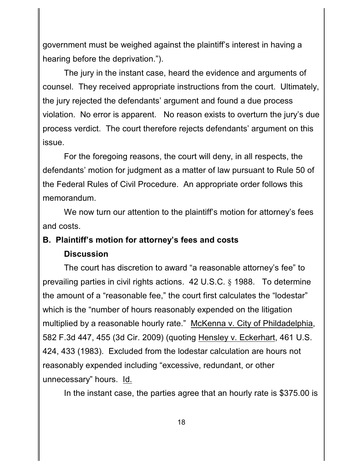government must be weighed against the plaintiff's interest in having a hearing before the deprivation.").

The jury in the instant case, heard the evidence and arguments of counsel. They received appropriate instructions from the court. Ultimately, the jury rejected the defendants' argument and found a due process violation. No error is apparent. No reason exists to overturn the jury's due process verdict. The court therefore rejects defendants' argument on this issue.

For the foregoing reasons, the court will deny, in all respects, the defendants' motion for judgment as a matter of law pursuant to Rule 50 of the Federal Rules of Civil Procedure. An appropriate order follows this memorandum.

We now turn our attention to the plaintiff's motion for attorney's fees and costs.

# **B. Plaintiff's motion for attorney's fees and costs**

# **Discussion**

The court has discretion to award "a reasonable attorney's fee" to prevailing parties in civil rights actions. 42 U.S.C. § 1988. To determine the amount of a "reasonable fee," the court first calculates the "lodestar" which is the "number of hours reasonably expended on the litigation multiplied by a reasonable hourly rate." McKenna v. City of Phildadelphia, 582 F.3d 447, 455 (3d Cir. 2009) (quoting Hensley v. Eckerhart, 461 U.S. 424, 433 (1983). Excluded from the lodestar calculation are hours not reasonably expended including "excessive, redundant, or other unnecessary" hours. Id.

In the instant case, the parties agree that an hourly rate is \$375.00 is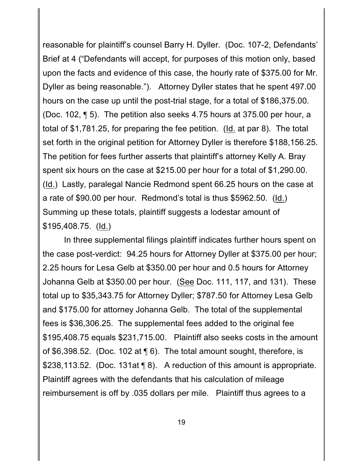reasonable for plaintiff's counsel Barry H. Dyller. (Doc. 107-2, Defendants' Brief at 4 ("Defendants will accept, for purposes of this motion only, based upon the facts and evidence of this case, the hourly rate of \$375.00 for Mr. Dyller as being reasonable."). Attorney Dyller states that he spent 497.00 hours on the case up until the post-trial stage, for a total of \$186,375.00. (Doc. 102, ¶ 5). The petition also seeks 4.75 hours at 375.00 per hour, a total of \$1,781.25, for preparing the fee petition. (Id. at par 8). The total set forth in the original petition for Attorney Dyller is therefore \$188,156.25. The petition for fees further asserts that plaintiff's attorney Kelly A. Bray spent six hours on the case at \$215.00 per hour for a total of \$1,290.00. (Id.) Lastly, paralegal Nancie Redmond spent 66.25 hours on the case at a rate of \$90.00 per hour. Redmond's total is thus \$5962.50. (Id.) Summing up these totals, plaintiff suggests a lodestar amount of \$195,408.75. (Id.)

In three supplemental filings plaintiff indicates further hours spent on the case post-verdict: 94.25 hours for Attorney Dyller at \$375.00 per hour; 2.25 hours for Lesa Gelb at \$350.00 per hour and 0.5 hours for Attorney Johanna Gelb at \$350.00 per hour. (See Doc. 111, 117, and 131). These total up to \$35,343.75 for Attorney Dyller; \$787.50 for Attorney Lesa Gelb and \$175.00 for attorney Johanna Gelb. The total of the supplemental fees is \$36,306.25. The supplemental fees added to the original fee \$195,408.75 equals \$231,715.00. Plaintiff also seeks costs in the amount of \$6,398.52. (Doc. 102 at ¶ 6). The total amount sought, therefore, is \$238,113.52. (Doc. 131at 18). A reduction of this amount is appropriate. Plaintiff agrees with the defendants that his calculation of mileage reimbursement is off by .035 dollars per mile. Plaintiff thus agrees to a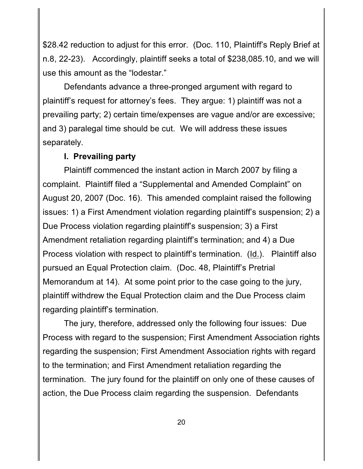\$28.42 reduction to adjust for this error. (Doc. 110, Plaintiff's Reply Brief at n.8, 22-23). Accordingly, plaintiff seeks a total of \$238,085.10, and we will use this amount as the "lodestar."

Defendants advance a three-pronged argument with regard to plaintiff's request for attorney's fees. They argue: 1) plaintiff was not a prevailing party; 2) certain time/expenses are vague and/or are excessive; and 3) paralegal time should be cut. We will address these issues separately.

#### **I. Prevailing party**

Plaintiff commenced the instant action in March 2007 by filing a complaint. Plaintiff filed a "Supplemental and Amended Complaint" on August 20, 2007 (Doc. 16). This amended complaint raised the following issues: 1) a First Amendment violation regarding plaintiff's suspension; 2) a Due Process violation regarding plaintiff's suspension; 3) a First Amendment retaliation regarding plaintiff's termination; and 4) a Due Process violation with respect to plaintiff's termination. (Id.). Plaintiff also pursued an Equal Protection claim. (Doc. 48, Plaintiff's Pretrial Memorandum at 14). At some point prior to the case going to the jury, plaintiff withdrew the Equal Protection claim and the Due Process claim regarding plaintiff's termination.

The jury, therefore, addressed only the following four issues: Due Process with regard to the suspension; First Amendment Association rights regarding the suspension; First Amendment Association rights with regard to the termination; and First Amendment retaliation regarding the termination. The jury found for the plaintiff on only one of these causes of action, the Due Process claim regarding the suspension. Defendants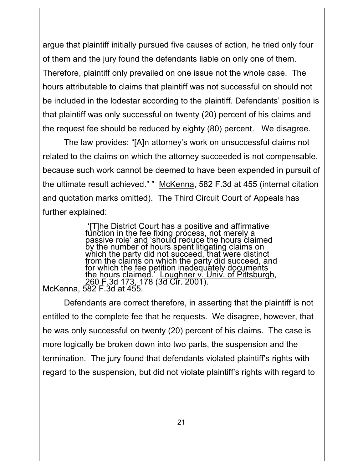argue that plaintiff initially pursued five causes of action, he tried only four of them and the jury found the defendants liable on only one of them. Therefore, plaintiff only prevailed on one issue not the whole case. The hours attributable to claims that plaintiff was not successful on should not be included in the lodestar according to the plaintiff. Defendants' position is that plaintiff was only successful on twenty (20) percent of his claims and the request fee should be reduced by eighty (80) percent. We disagree.

The law provides: "[A]n attorney's work on unsuccessful claims not related to the claims on which the attorney succeeded is not compensable, because such work cannot be deemed to have been expended in pursuit of the ultimate result achieved." " McKenna, 582 F.3d at 455 (internal citation and quotation marks omitted). The Third Circuit Court of Appeals has further explained:

 '[T]he District Court has a positive and affirmative function in the fee fixing process, not merely a passive role' and 'should reduce the hours claimed by the number of hours spent litigating claims on which the party did not succeed, that were distinct from the claims on which the party did succeed, and for which the fee petition inadequately documents the hours claimed.' Loughner v. Univ. of Pittsburgh, 260 F.3d 173, 178 (3d Cir. 2001). McKenna, 582 F.3d at 455.

Defendants are correct therefore, in asserting that the plaintiff is not entitled to the complete fee that he requests. We disagree, however, that he was only successful on twenty (20) percent of his claims. The case is more logically be broken down into two parts, the suspension and the termination. The jury found that defendants violated plaintiff's rights with regard to the suspension, but did not violate plaintiff's rights with regard to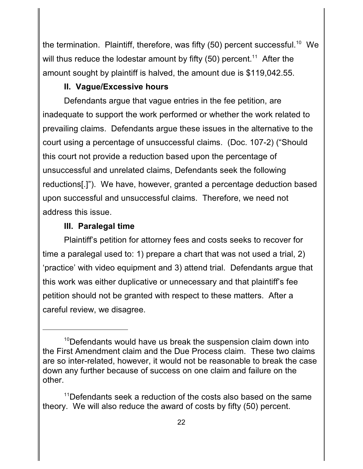the termination. Plaintiff, therefore, was fifty (50) percent successful.<sup>10</sup> We will thus reduce the lodestar amount by fifty (50) percent. $^\mathsf{11}\,$  After the amount sought by plaintiff is halved, the amount due is \$119,042.55.

# **II. Vague/Excessive hours**

Defendants argue that vague entries in the fee petition, are inadequate to support the work performed or whether the work related to prevailing claims. Defendants argue these issues in the alternative to the court using a percentage of unsuccessful claims. (Doc. 107-2) ("Should this court not provide a reduction based upon the percentage of unsuccessful and unrelated claims, Defendants seek the following reductions[.]"). We have, however, granted a percentage deduction based upon successful and unsuccessful claims. Therefore, we need not address this issue.

# **III. Paralegal time**

Plaintiff's petition for attorney fees and costs seeks to recover for time a paralegal used to: 1) prepare a chart that was not used a trial, 2) 'practice' with video equipment and 3) attend trial. Defendants argue that this work was either duplicative or unnecessary and that plaintiff's fee petition should not be granted with respect to these matters. After a careful review, we disagree.

 $10$ Defendants would have us break the suspension claim down into the First Amendment claim and the Due Process claim. These two claims are so inter-related, however, it would not be reasonable to break the case down any further because of success on one claim and failure on the other.

 $11$ Defendants seek a reduction of the costs also based on the same theory. We will also reduce the award of costs by fifty (50) percent.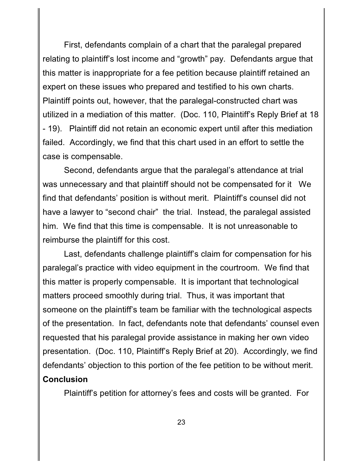First, defendants complain of a chart that the paralegal prepared relating to plaintiff's lost income and "growth" pay. Defendants argue that this matter is inappropriate for a fee petition because plaintiff retained an expert on these issues who prepared and testified to his own charts. Plaintiff points out, however, that the paralegal-constructed chart was utilized in a mediation of this matter. (Doc. 110, Plaintiff's Reply Brief at 18 - 19). Plaintiff did not retain an economic expert until after this mediation failed. Accordingly, we find that this chart used in an effort to settle the case is compensable.

Second, defendants argue that the paralegal's attendance at trial was unnecessary and that plaintiff should not be compensated for it We find that defendants' position is without merit. Plaintiff's counsel did not have a lawyer to "second chair" the trial. Instead, the paralegal assisted him. We find that this time is compensable. It is not unreasonable to reimburse the plaintiff for this cost.

Last, defendants challenge plaintiff's claim for compensation for his paralegal's practice with video equipment in the courtroom. We find that this matter is properly compensable. It is important that technological matters proceed smoothly during trial. Thus, it was important that someone on the plaintiff's team be familiar with the technological aspects of the presentation. In fact, defendants note that defendants' counsel even requested that his paralegal provide assistance in making her own video presentation. (Doc. 110, Plaintiff's Reply Brief at 20). Accordingly, we find defendants' objection to this portion of the fee petition to be without merit. **Conclusion**

Plaintiff's petition for attorney's fees and costs will be granted. For

23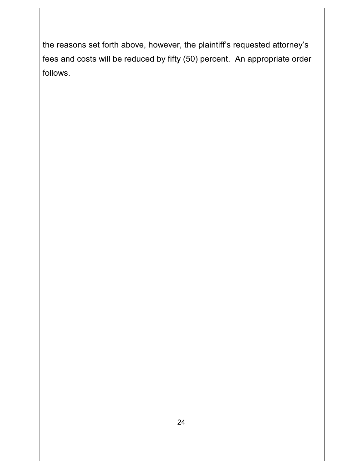the reasons set forth above, however, the plaintiff's requested attorney's fees and costs will be reduced by fifty (50) percent. An appropriate order follows.